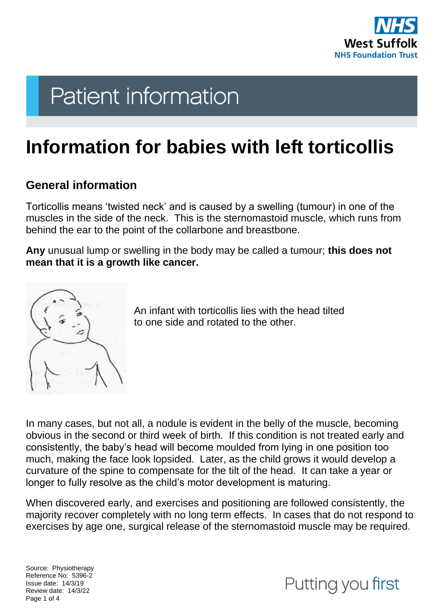

# **Patient information**

## **Information for babies with left torticollis**

### **General information**

Torticollis means 'twisted neck' and is caused by a swelling (tumour) in one of the muscles in the side of the neck. This is the sternomastoid muscle, which runs from behind the ear to the point of the collarbone and breastbone.

**Any** unusual lump or swelling in the body may be called a tumour; **this does not mean that it is a growth like cancer.**



An infant with torticollis lies with the head tilted to one side and rotated to the other.

In many cases, but not all, a nodule is evident in the belly of the muscle, becoming obvious in the second or third week of birth. If this condition is not treated early and consistently, the baby's head will become moulded from lying in one position too much, making the face look lopsided. Later, as the child grows it would develop a curvature of the spine to compensate for the tilt of the head. It can take a year or longer to fully resolve as the child's motor development is maturing.

When discovered early, and exercises and positioning are followed consistently, the majority recover completely with no long term effects. In cases that do not respond to exercises by age one, surgical release of the sternomastoid muscle may be required.

Source: Physiotherapy Reference No: 5396-2 Issue date: 14/3/19 Review date: 14/3/22 Page 1 of 4

## Putting you first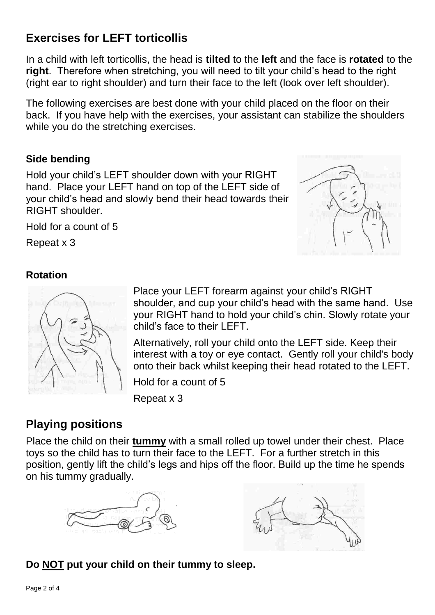## **Exercises for LEFT torticollis**

In a child with left torticollis, the head is **tilted** to the **left** and the face is **rotated** to the **right**. Therefore when stretching, you will need to tilt your child's head to the right (right ear to right shoulder) and turn their face to the left (look over left shoulder).

The following exercises are best done with your child placed on the floor on their back. If you have help with the exercises, your assistant can stabilize the shoulders while you do the stretching exercises.

#### **Side bending**

Hold your child's LEFT shoulder down with your RIGHT hand. Place your LEFT hand on top of the LEFT side of your child's head and slowly bend their head towards their RIGHT shoulder.

Hold for a count of 5

Repeat x 3



#### **Rotation**



Place your LEFT forearm against your child's RIGHT shoulder, and cup your child's head with the same hand. Use your RIGHT hand to hold your child's chin. Slowly rotate your child's face to their LEFT.

Alternatively, roll your child onto the LEFT side. Keep their interest with a toy or eye contact. Gently roll your child's body onto their back whilst keeping their head rotated to the LEFT.

Hold for a count of 5

Repeat x 3

## **Playing positions**

Place the child on their **tummy** with a small rolled up towel under their chest. Place toys so the child has to turn their face to the LEFT. For a further stretch in this position, gently lift the child's legs and hips off the floor. Build up the time he spends on his tummy gradually.





#### **Do NOT put your child on their tummy to sleep.**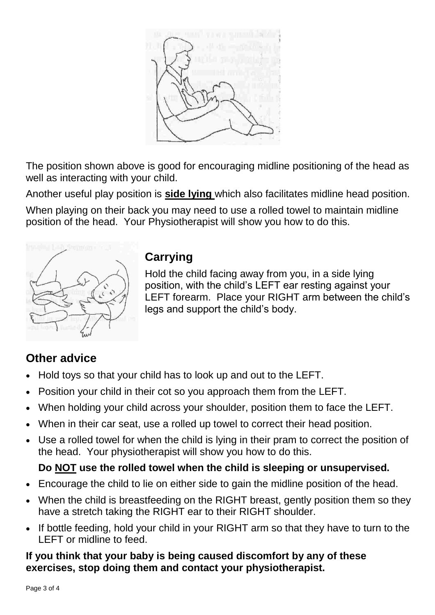

The position shown above is good for encouraging midline positioning of the head as well as interacting with your child.

Another useful play position is **side lying** which also facilitates midline head position.

When playing on their back you may need to use a rolled towel to maintain midline position of the head. Your Physiotherapist will show you how to do this.



## **Carrying**

Hold the child facing away from you, in a side lying position, with the child's LEFT ear resting against your LEFT forearm. Place your RIGHT arm between the child's legs and support the child's body.

## **Other advice**

- Hold toys so that your child has to look up and out to the LEFT.
- Position your child in their cot so you approach them from the LEFT.
- When holding your child across your shoulder, position them to face the LEFT.
- When in their car seat, use a rolled up towel to correct their head position.
- Use a rolled towel for when the child is lying in their pram to correct the position of the head. Your physiotherapist will show you how to do this.

### **Do NOT use the rolled towel when the child is sleeping or unsupervised.**

- Encourage the child to lie on either side to gain the midline position of the head.
- When the child is breastfeeding on the RIGHT breast, gently position them so they have a stretch taking the RIGHT ear to their RIGHT shoulder.
- If bottle feeding, hold your child in your RIGHT arm so that they have to turn to the LEFT or midline to feed.

#### **If you think that your baby is being caused discomfort by any of these exercises, stop doing them and contact your physiotherapist.**